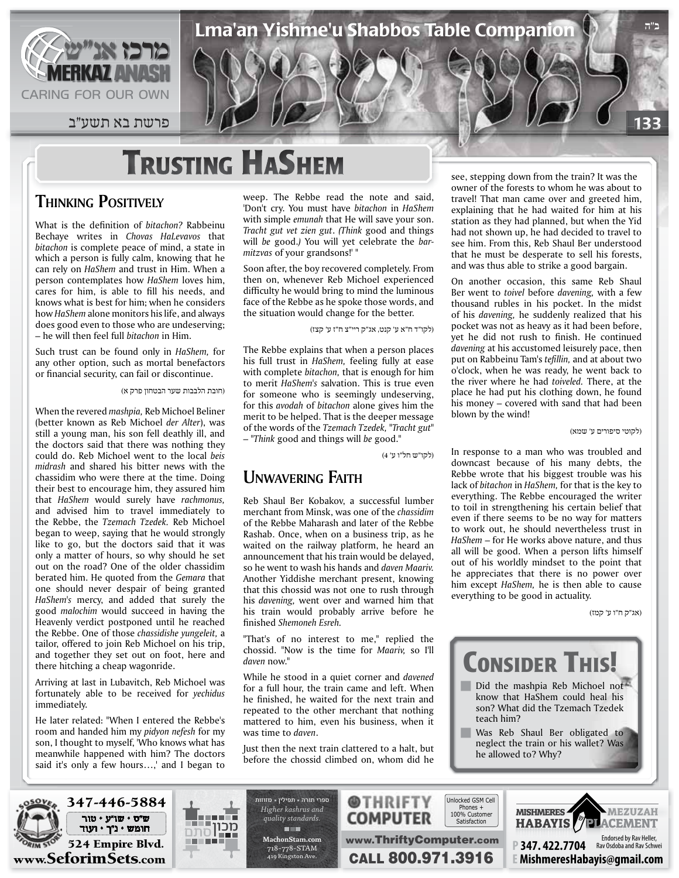

133 פרשת בא תשע״ב

# **TRUSTING HASHEM**

## **THINKING POSITIVELY**

What is the definition of bitachon? Rabbeinu Bechaye writes in *Chovas HaLevavos* that bitachon is complete peace of mind, a state in which a person is fully calm, knowing that he can rely on *HaShem* and *trust* in *Him*. When a person contemplates how HaShem loves him, cares for him, is able to fill his needs, and knows what is best for him: when he considers how *HaShem* alone monitors his life, and always does good even to those who are undeserving; - he will then feel full *bitachon* in Him.

Such trust can be found only in *HaShem*, for any other option, such as mortal benefactors or financial security, can fail or discontinue.

(חובת הלבבות שער הבטחון פרק א)

When the revered *mashpia*, Reb Michoel Beliner (better known as Reb Michoel der Alter), was still a young man, his son fell deathly ill, and the doctors said that there was nothing they could do. Reb Michoel went to the local beis midrash and shared his bitter news with the chassidim who were there at the time. Doing their best to encourage him, they assured him that *HaShem* would surely have rachmonus, and advised him to travel immediately to the Rebbe, the *Tzemach Tzedek*. Reb Michoel began to weep, saying that he would strongly like to go, but the doctors said that it was only a matter of hours, so why should he set out on the road? One of the older chassidim berated him. He quoted from the Gemara that one should never despair of being granted HaShem's mercy, and added that surely the good *malochim* would succeed in having the Heavenly verdict postponed until he reached the Rebbe. One of those *chassidishe yungeleit*, a tailor, offered to join Reb Michoel on his trip, and together they set out on foot, here and there hitching a cheap wagonride.

Arriving at last in Lubavitch, Reb Michoel was fortunately able to be received for *yechidus* immediately.

He later related: "When I entered the Rebbe's room and handed him my pidyon nefesh for my son, I thought to myself, 'Who knows what has meanwhile happened with him? The doctors said it's only a few hours...,' and I began to

weep. The Rebbe read the note and said, 'Don't cry. You must have *bitachon* in *HaShem* with simple *emunah* that He will save your son. Tracht gut vet zien gut. (Think good and things will *be* good.) You will yet celebrate the *bar-*<br>*mitzvas* of your grandsons!' "

Soon after, the boy recovered completely. From then on, whenever Reb Michoel experienced difficulty he would bring to mind the luminous face of the Rebbe as he spoke those words, and the situation would change for the better.

(לקו"ד ח"א ע' קנט, אג"ק ריי"צ ח"ז ע' קצז)

Lma'an Yishme'u Shabbos Table Companion

The Rebbe explains that when a person places his full trust in *HaShem*, feeling fully at ease with complete *bitachon*, that is enough for him to merit *HaShem's* salvation. This is true even for someone who is seemingly undeserving, for this *avodah* of *bitachon* alone gives him the merit to be helped. That is the deeper message of the words of the Tzemach Tzedek, "Tracht gut" - "Think good and things will be good."

(לקו"ש חל"ו ע' 4)

www.ThriftyComputer.com

@THRIFTY COMPUTER

**CALL 800.971.3916** 

## *UNWAVERING* FAITH

Reb Shaul Ber Kobakov, a successful lumber merchant from Minsk, was one of the *chassidim* of the Rebbe Maharash and later of the Rebbe Rashab. Once, when on a business trip, as he waited on the railway platform, he heard an announcement that his train would be delayed, so he went to wash his hands and *daven Maariv*. Another Yiddishe merchant present, knowing that this chossid was not one to rush through his *davening*, went over and warned him that his train would probably arrive before he finished Shemoneh Esreh.

"That's of no interest to me," replied the chossid. "Now is the time for *Maariv*. so I'll daven now."

While he stood in a quiet corner and *davened* for a full hour, the train came and left. When he finished, he waited for the next train and repeated to the other merchant that nothing mattered to him, even his business, when it was time to *daven*.

Just then the next train clattered to a halt, but before the chossid climbed on, whom did he see, stepping down from the train? It was the owner of the forests to whom he was about to travel! That man came over and greeted him, explaining that he had waited for him at his station as they had planned, but when the Yid had not shown up, he had decided to travel to see him. From this, Reb Shaul Ber understood that he must be desperate to sell his forests, and was thus able to strike a good bargain.

On another occasion, this same Reb Shaul Ber went to *toivel* before *davening*, with a few thousand rubles in his pocket. In the midst of his *davening*, he suddenly realized that his pocket was not as heavy as it had been before, yet he did not rush to finish. He continued davening at his accustomed leisurely pace, then put on Rabbeinu Tam's tefillin, and at about two o'clock, when he was ready, he went back to the river where he had *toiveled*. There, at the place he had put his clothing down, he found his money  $-$  covered with sand that had been blown by the wind!

(לקוטי סיפורים ע' שמא)

**ב"ה**

In response to a man who was troubled and downcast because of his many debts, the Rebbe wrote that his biggest trouble was his lack of *bitachon* in *HaShem*, for that is the key to everything. The Rebbe encouraged the writer to toil in strengthening his certain belief that even if there seems to be no way for matters to work out, he should nevertheless trust in HaShem – for He works above nature, and thus all will be good. When a person lifts himself out of his worldly mindset to the point that he appreciates that there is no power over him except HaShem, he is then able to cause everything to be good in actuality.

(אג"ק ח"ו ע' קמז)



**P347.422.7704** 

**E** MishmeresHabayis@qmail.com

Rav Osdoba and Rav Schwei



ש״ס • שו״ע • טור חומש • נ״ך • ועוד



*and kashrus Higher .standards quality* **The Street com.MachonStam** 718-778-STAM 419 Kingston Ave